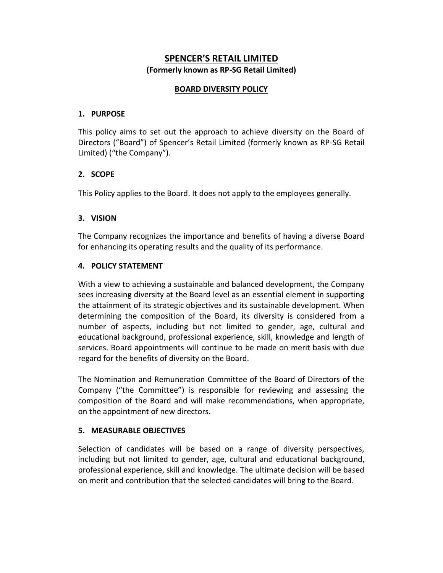# **SPENCER'S RETAIL LIMITED (Formerly known as RP-SG Retail Limited)**

# **BOARD DIVERSITY POLICY**

## **1. PURPOSE**

This policy aims to set out the approach to achieve diversity on the Board of Directors ("Board") of Spencer's Retail Limited (formerly known as RP-SG Retail Limited) ("the Company").

## **2. SCOPE**

This Policy applies to the Board. It does not apply to the employees generally.

# **3. VISION**

The Company recognizes the importance and benefits of having a diverse Board for enhancing its operating results and the quality of its performance.

## **4. POLICY STATEMENT**

With a view to achieving a sustainable and balanced development, the Company sees increasing diversity at the Board level as an essential element in supporting the attainment of its strategic objectives and its sustainable development. When determining the composition of the Board, its diversity is considered from a number of aspects, including but not limited to gender, age, cultural and educational background, professional experience, skill, knowledge and length of services. Board appointments will continue to be made on merit basis with due regard for the benefits of diversity on the Board.

The Nomination and Remuneration Committee of the Board of Directors of the Company ("the Committee") is responsible for reviewing and assessing the composition of the Board and will make recommendations, when appropriate, on the appointment of new directors.

## **5. MEASURABLE OBJECTIVES**

Selection of candidates will be based on a range of diversity perspectives, including but not limited to gender, age, cultural and educational background, professional experience, skill and knowledge. The ultimate decision will be based on merit and contribution that the selected candidates will bring to the Board.